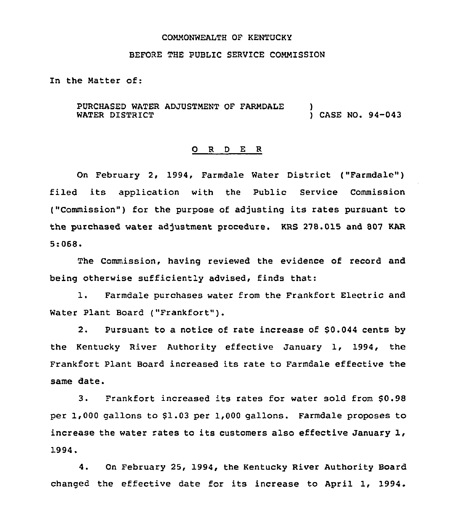#### COMMONWEALTH OF KENTUCKY

#### BEFORE THE PUBLIC SERVICE COMMISSION

In the Hatter of:

PURCHASED WATER ADJUSTMENT OF FARNDALE WATER DISTRICT ) ) CASE NO. 94-043

#### 0 <sup>R</sup> <sup>D</sup> E R

On February 2, 1994, Farmdale Water District ("Farmdale") filed its application with the Public Service Commission ("Commission") for the purpose of adjusting its rates pursuant to the purchased water adjustment procedure. KRS 278.015 and 807 KAR 5:068.

The Commission, having reviewed the evidence of record and being otherwise sufficiently advised, finds that:

1. Farmdale purchases water from the Frankfort Electric and Water Plant Board ("Frankfort").

2. Pursuant to a notice of rate increase of \$0.044 cents by the Kentucky River Authority effective January 1, 1994, the Frankfort Plant Board increased its rate to Farmdale effective the same date.

3. Frankfort increased its rates for water sold from \$0.98 per  $1,000$  gallons to  $$1.03$  per  $1,000$  gallons. Farmdale proposes to increase the water rates to its customers also effective January 1, 1994.

4. On February 25, 1994, the Kentucky River Authority Board changed the effective date for its increase to April 1, 1994.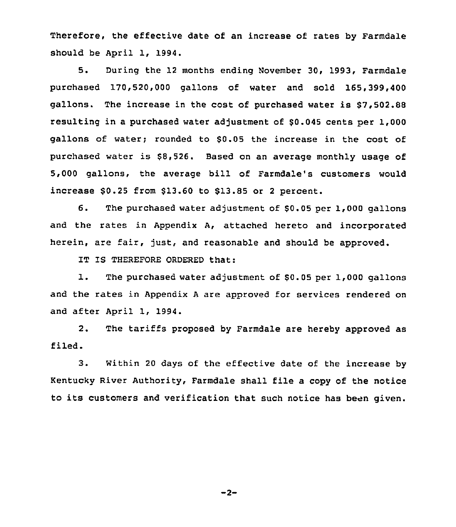Therefore, the effective date of an increase of rates by Farmdale should be April 1, 1994.

5. During the 12 months ending November 30, 1993, Farmdale purchased 170,520,000 gallons of water and sold 165,399,400 gallons. The increase in the cost of purchased water is \$7,502.88 resulting in a purchased water adjustment of \$0.045 cents per 1,000 gallons of water; rounded to \$0.05 the increase in the cost of purchased water is \$8,526. Based on an average monthly usage of 5,000 gallons, the average bill of Farmdale's customers would increase  $$0.25$  from  $$13.60$  to  $$13.85$  or 2 percent.

6. The purchased water adjustment of \$0.05 per 1,000 gallons and the rates in Appendix A, attached hereto and incorporated herein, are fair, just, and reasonable and should be approved.

IT IS THEREFORE ORDERED that:

1. The purchased water adjustment of \$0.05 per 1,000 gallons and the rates in Appendix <sup>A</sup> are approved for services rendered on and after April 1, 1994.

2. The tariffs proposed by Farmdale are hereby approved as filed.

3. Within <sup>20</sup> days of the effective date of the increase by Kentucky River Authority, Farmdale shall file a copy of the notice to its customers and verification that such notice has been given.

 $-2-$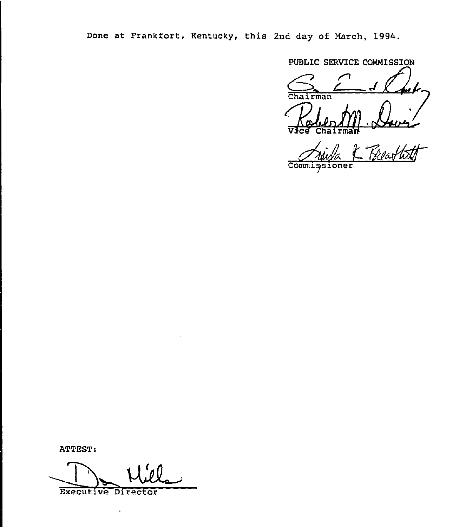Done at Frankfort, Kentucky, this 2nd day of March, 1994.

PUBLIC SERVICE COMMISSION

Vice Chairma

Beatti Commissioner

ATTEST:

Executive Director

÷.